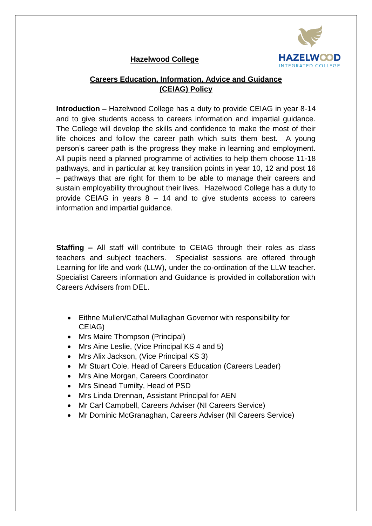

# **Hazelwood College**

# **Careers Education, Information, Advice and Guidance (CEIAG) Policy**

**Introduction –** Hazelwood College has a duty to provide CEIAG in year 8-14 and to give students access to careers information and impartial guidance. The College will develop the skills and confidence to make the most of their life choices and follow the career path which suits them best. A young person's career path is the progress they make in learning and employment. All pupils need a planned programme of activities to help them choose 11-18 pathways, and in particular at key transition points in year 10, 12 and post 16 – pathways that are right for them to be able to manage their careers and sustain employability throughout their lives. Hazelwood College has a duty to provide CEIAG in years  $8 - 14$  and to give students access to careers information and impartial guidance.

**Staffing –** All staff will contribute to CEIAG through their roles as class teachers and subject teachers. Specialist sessions are offered through Learning for life and work (LLW), under the co-ordination of the LLW teacher. Specialist Careers information and Guidance is provided in collaboration with Careers Advisers from DEL.

- Eithne Mullen/Cathal Mullaghan Governor with responsibility for CEIAG)
- Mrs Maire Thompson (Principal)
- Mrs Aine Leslie, (Vice Principal KS 4 and 5)
- Mrs Alix Jackson, (Vice Principal KS 3)
- Mr Stuart Cole, Head of Careers Education (Careers Leader)
- Mrs Aine Morgan, Careers Coordinator
- Mrs Sinead Tumilty, Head of PSD
- Mrs Linda Drennan, Assistant Principal for AEN
- Mr Carl Campbell, Careers Adviser (NI Careers Service)
- Mr Dominic McGranaghan, Careers Adviser (NI Careers Service)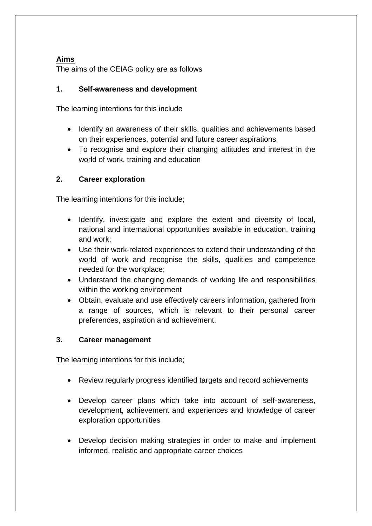## **Aims**

The aims of the CEIAG policy are as follows

## **1. Self-awareness and development**

The learning intentions for this include

- Identify an awareness of their skills, qualities and achievements based on their experiences, potential and future career aspirations
- To recognise and explore their changing attitudes and interest in the world of work, training and education

# **2. Career exploration**

The learning intentions for this include;

- Identify, investigate and explore the extent and diversity of local, national and international opportunities available in education, training and work;
- Use their work-related experiences to extend their understanding of the world of work and recognise the skills, qualities and competence needed for the workplace;
- Understand the changing demands of working life and responsibilities within the working environment
- Obtain, evaluate and use effectively careers information, gathered from a range of sources, which is relevant to their personal career preferences, aspiration and achievement.

## **3. Career management**

The learning intentions for this include;

- Review regularly progress identified targets and record achievements
- Develop career plans which take into account of self-awareness, development, achievement and experiences and knowledge of career exploration opportunities
- Develop decision making strategies in order to make and implement informed, realistic and appropriate career choices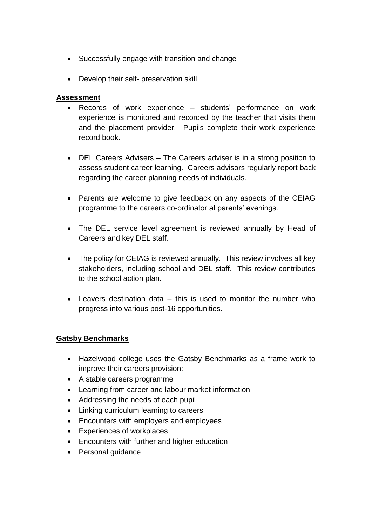- Successfully engage with transition and change
- Develop their self- preservation skill

### **Assessment**

- Records of work experience students' performance on work experience is monitored and recorded by the teacher that visits them and the placement provider. Pupils complete their work experience record book.
- DEL Careers Advisers The Careers adviser is in a strong position to assess student career learning. Careers advisors regularly report back regarding the career planning needs of individuals.
- Parents are welcome to give feedback on any aspects of the CEIAG programme to the careers co-ordinator at parents' evenings.
- The DEL service level agreement is reviewed annually by Head of Careers and key DEL staff.
- The policy for CEIAG is reviewed annually. This review involves all key stakeholders, including school and DEL staff. This review contributes to the school action plan.
- $\bullet$  Leavers destination data  $-$  this is used to monitor the number who progress into various post-16 opportunities.

## **Gatsby Benchmarks**

- Hazelwood college uses the Gatsby Benchmarks as a frame work to improve their careers provision:
- A stable careers programme
- Learning from career and labour market information
- Addressing the needs of each pupil
- Linking curriculum learning to careers
- Encounters with employers and employees
- Experiences of workplaces
- Encounters with further and higher education
- Personal guidance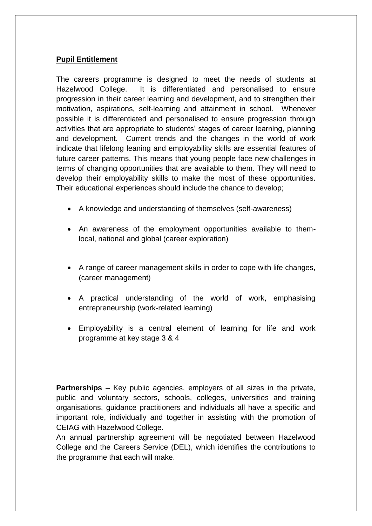## **Pupil Entitlement**

The careers programme is designed to meet the needs of students at Hazelwood College. It is differentiated and personalised to ensure progression in their career learning and development, and to strengthen their motivation, aspirations, self-learning and attainment in school. Whenever possible it is differentiated and personalised to ensure progression through activities that are appropriate to students' stages of career learning, planning and development. Current trends and the changes in the world of work indicate that lifelong leaning and employability skills are essential features of future career patterns. This means that young people face new challenges in terms of changing opportunities that are available to them. They will need to develop their employability skills to make the most of these opportunities. Their educational experiences should include the chance to develop;

- A knowledge and understanding of themselves (self-awareness)
- An awareness of the employment opportunities available to themlocal, national and global (career exploration)
- A range of career management skills in order to cope with life changes, (career management)
- A practical understanding of the world of work, emphasising entrepreneurship (work-related learning)
- Employability is a central element of learning for life and work programme at key stage 3 & 4

**Partnerships –** Key public agencies, employers of all sizes in the private, public and voluntary sectors, schools, colleges, universities and training organisations, guidance practitioners and individuals all have a specific and important role, individually and together in assisting with the promotion of CEIAG with Hazelwood College.

An annual partnership agreement will be negotiated between Hazelwood College and the Careers Service (DEL), which identifies the contributions to the programme that each will make.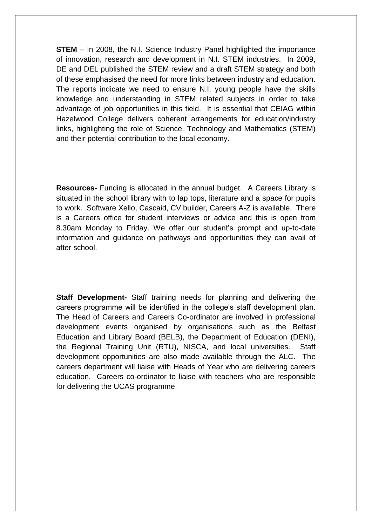**STEM** – In 2008, the N.I. Science Industry Panel highlighted the importance of innovation, research and development in N.I. STEM industries. In 2009, DE and DEL published the STEM review and a draft STEM strategy and both of these emphasised the need for more links between industry and education. The reports indicate we need to ensure N.I. young people have the skills knowledge and understanding in STEM related subjects in order to take advantage of job opportunities in this field. It is essential that CEIAG within Hazelwood College delivers coherent arrangements for education/industry links, highlighting the role of Science, Technology and Mathematics (STEM) and their potential contribution to the local economy.

**Resources-** Funding is allocated in the annual budget. A Careers Library is situated in the school library with to lap tops, literature and a space for pupils to work. Software Xello, Cascaid, CV builder, Careers A-Z is available. There is a Careers office for student interviews or advice and this is open from 8.30am Monday to Friday. We offer our student's prompt and up-to-date information and guidance on pathways and opportunities they can avail of after school.

**Staff Development-** Staff training needs for planning and delivering the careers programme will be identified in the college's staff development plan. The Head of Careers and Careers Co-ordinator are involved in professional development events organised by organisations such as the Belfast Education and Library Board (BELB), the Department of Education (DENI), the Regional Training Unit (RTU), NISCA, and local universities. Staff development opportunities are also made available through the ALC. The careers department will liaise with Heads of Year who are delivering careers education. Careers co-ordinator to liaise with teachers who are responsible for delivering the UCAS programme.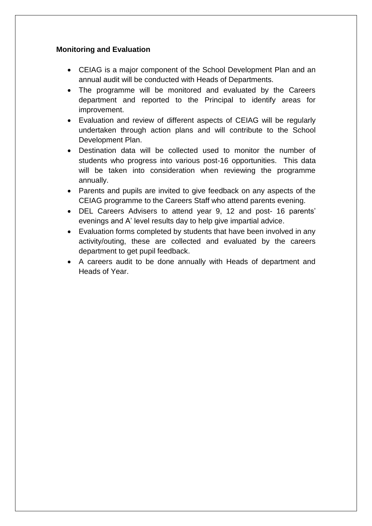## **Monitoring and Evaluation**

- CEIAG is a major component of the School Development Plan and an annual audit will be conducted with Heads of Departments.
- The programme will be monitored and evaluated by the Careers department and reported to the Principal to identify areas for improvement.
- Evaluation and review of different aspects of CEIAG will be regularly undertaken through action plans and will contribute to the School Development Plan.
- Destination data will be collected used to monitor the number of students who progress into various post-16 opportunities. This data will be taken into consideration when reviewing the programme annually.
- Parents and pupils are invited to give feedback on any aspects of the CEIAG programme to the Careers Staff who attend parents evening.
- DEL Careers Advisers to attend year 9, 12 and post- 16 parents' evenings and A' level results day to help give impartial advice.
- Evaluation forms completed by students that have been involved in any activity/outing, these are collected and evaluated by the careers department to get pupil feedback.
- A careers audit to be done annually with Heads of department and Heads of Year.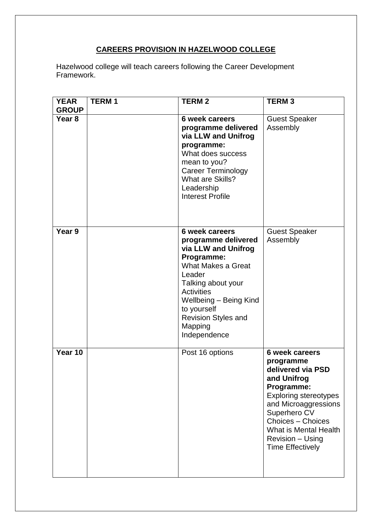# **CAREERS PROVISION IN HAZELWOOD COLLEGE**

Hazelwood college will teach careers following the Career Development Framework.

| <b>YEAR</b><br><b>GROUP</b> | <b>TERM1</b> | <b>TERM2</b>                                                                                                                                                                                                                                                   | <b>TERM3</b>                                                                                                                                                                                                                                                     |
|-----------------------------|--------------|----------------------------------------------------------------------------------------------------------------------------------------------------------------------------------------------------------------------------------------------------------------|------------------------------------------------------------------------------------------------------------------------------------------------------------------------------------------------------------------------------------------------------------------|
| Year <sub>8</sub>           |              | <b>6 week careers</b><br>programme delivered<br>via LLW and Unifrog<br>programme:<br>What does success<br>mean to you?<br><b>Career Terminology</b><br>What are Skills?<br>Leadership<br><b>Interest Profile</b>                                               | <b>Guest Speaker</b><br>Assembly                                                                                                                                                                                                                                 |
| Year 9                      |              | <b>6 week careers</b><br>programme delivered<br>via LLW and Unifrog<br>Programme:<br>What Makes a Great<br>Leader<br>Talking about your<br><b>Activities</b><br>Wellbeing - Being Kind<br>to yourself<br><b>Revision Styles and</b><br>Mapping<br>Independence | <b>Guest Speaker</b><br>Assembly                                                                                                                                                                                                                                 |
| Year 10                     |              | Post 16 options                                                                                                                                                                                                                                                | <b>6 week careers</b><br>programme<br>delivered via PSD<br>and Unifrog<br>Programme:<br><b>Exploring stereotypes</b><br>and Microaggressions<br>Superhero CV<br><b>Choices - Choices</b><br>What is Mental Health<br>Revision - Using<br><b>Time Effectively</b> |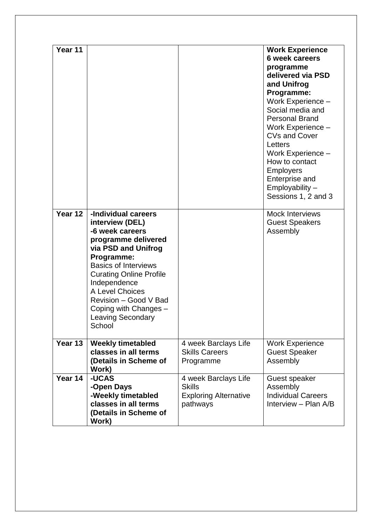| Year 11 |                                                                                                                                                                                                                                                                                                                   |                                                                                   | <b>Work Experience</b><br><b>6 week careers</b><br>programme<br>delivered via PSD<br>and Unifrog<br>Programme:<br>Work Experience -<br>Social media and<br><b>Personal Brand</b><br>Work Experience -<br><b>CVs and Cover</b><br>Letters<br>Work Experience -<br>How to contact<br><b>Employers</b><br>Enterprise and<br>Employability -<br>Sessions 1, 2 and 3 |
|---------|-------------------------------------------------------------------------------------------------------------------------------------------------------------------------------------------------------------------------------------------------------------------------------------------------------------------|-----------------------------------------------------------------------------------|-----------------------------------------------------------------------------------------------------------------------------------------------------------------------------------------------------------------------------------------------------------------------------------------------------------------------------------------------------------------|
| Year 12 | -Individual careers<br>interview (DEL)<br>-6 week careers<br>programme delivered<br>via PSD and Unifrog<br>Programme:<br><b>Basics of Interviews</b><br><b>Curating Online Profile</b><br>Independence<br>A Level Choices<br>Revision - Good V Bad<br>Coping with Changes -<br><b>Leaving Secondary</b><br>School |                                                                                   | <b>Mock Interviews</b><br><b>Guest Speakers</b><br>Assembly                                                                                                                                                                                                                                                                                                     |
| Year 13 | <b>Weekly timetabled</b><br>classes in all terms<br>(Details in Scheme of<br>Work)                                                                                                                                                                                                                                | 4 week Barclays Life<br><b>Skills Careers</b><br>Programme                        | <b>Work Experience</b><br><b>Guest Speaker</b><br>Assembly                                                                                                                                                                                                                                                                                                      |
| Year 14 | -UCAS<br>-Open Days<br>-Weekly timetabled<br>classes in all terms<br>(Details in Scheme of<br>Work)                                                                                                                                                                                                               | 4 week Barclays Life<br><b>Skills</b><br><b>Exploring Alternative</b><br>pathways | Guest speaker<br>Assembly<br><b>Individual Careers</b><br>Interview - Plan A/B                                                                                                                                                                                                                                                                                  |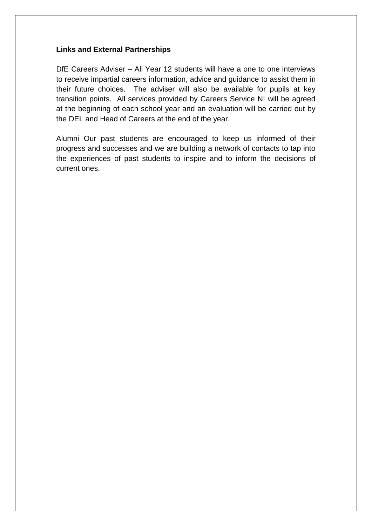## **Links and External Partnerships**

DfE Careers Adviser – All Year 12 students will have a one to one interviews to receive impartial careers information, advice and guidance to assist them in their future choices. The adviser will also be available for pupils at key transition points. All services provided by Careers Service NI will be agreed at the beginning of each school year and an evaluation will be carried out by the DEL and Head of Careers at the end of the year.

Alumni Our past students are encouraged to keep us informed of their progress and successes and we are building a network of contacts to tap into the experiences of past students to inspire and to inform the decisions of current ones.